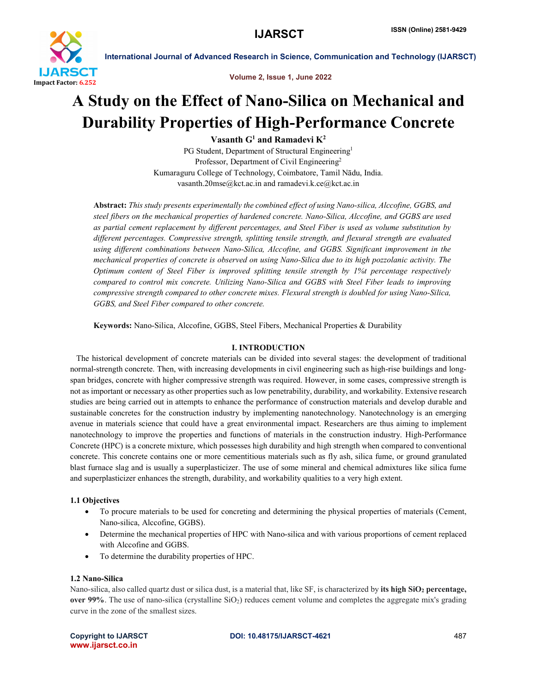

Volume 2, Issue 1, June 2022

## A Study on the Effect of Nano-Silica on Mechanical and Durability Properties of High-Performance Concrete

Vasanth  $G^1$  and Ramadevi  $K^2$ 

PG Student, Department of Structural Engineering<sup>1</sup> Professor, Department of Civil Engineering<sup>2</sup> Kumaraguru College of Technology, Coimbatore, Tamil Nādu, India. vasanth.20mse@kct.ac.in and ramadevi.k.ce@kct.ac.in

Abstract: *This study presents experimentally the combined effect of using Nano-silica, Alccofine, GGBS, and steel fibers on the mechanical properties of hardened concrete. Nano-Silica, Alccofine, and GGBS are used as partial cement replacement by different percentages, and Steel Fiber is used as volume substitution by different percentages. Compressive strength, splitting tensile strength, and flexural strength are evaluated using different combinations between Nano-Silica, Alccofine, and GGBS. Significant improvement in the mechanical properties of concrete is observed on using Nano-Silica due to its high pozzolanic activity. The Optimum content of Steel Fiber is improved splitting tensile strength by 1%t percentage respectively compared to control mix concrete. Utilizing Nano-Silica and GGBS with Steel Fiber leads to improving compressive strength compared to other concrete mixes. Flexural strength is doubled for using Nano-Silica, GGBS, and Steel Fiber compared to other concrete.*

Keywords: Nano-Silica, Alccofine, GGBS, Steel Fibers, Mechanical Properties & Durability

#### I. INTRODUCTION

 The historical development of concrete materials can be divided into several stages: the development of traditional normal-strength concrete. Then, with increasing developments in civil engineering such as high-rise buildings and longspan bridges, concrete with higher compressive strength was required. However, in some cases, compressive strength is not as important or necessary as other properties such as low penetrability, durability, and workability. Extensive research studies are being carried out in attempts to enhance the performance of construction materials and develop durable and sustainable concretes for the construction industry by implementing nanotechnology. Nanotechnology is an emerging avenue in materials science that could have a great environmental impact. Researchers are thus aiming to implement nanotechnology to improve the properties and functions of materials in the construction industry. High-Performance Concrete (HPC) is a concrete mixture, which possesses high durability and high strength when compared to conventional concrete. This concrete contains one or more cementitious materials such as fly ash, silica fume, or ground granulated blast furnace slag and is usually a superplasticizer. The use of some mineral and chemical admixtures like silica fume and superplasticizer enhances the strength, durability, and workability qualities to a very high extent.

#### 1.1 Objectives

- To procure materials to be used for concreting and determining the physical properties of materials (Cement, Nano-silica, Alccofine, GGBS).
- Determine the mechanical properties of HPC with Nano-silica and with various proportions of cement replaced with Alccofine and GGBS.
- To determine the durability properties of HPC.

#### 1.2 Nano-Silica

Nano-silica, also called quartz dust or silica dust, is a material that, like  $SF$ , is characterized by its high  $SiO<sub>2</sub>$  percentage, over 99%. The use of nano-silica (crystalline  $SiO<sub>2</sub>$ ) reduces cement volume and completes the aggregate mix's grading curve in the zone of the smallest sizes.

www.ijarsct.co.in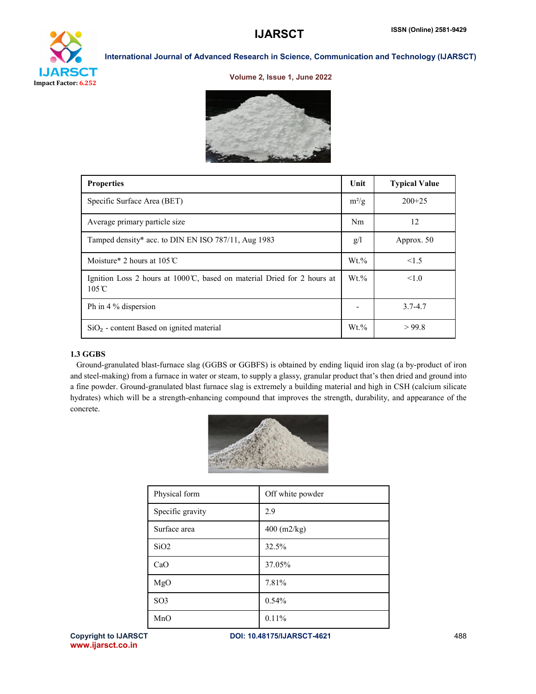# **IJARSCT**

Impact Factor: 6.252

## International Journal of Advanced Research in Science, Communication and Technology (IJARSCT)

#### Volume 2, Issue 1, June 2022



| <b>Properties</b>                                                                                         | Unit           | <b>Typical Value</b> |
|-----------------------------------------------------------------------------------------------------------|----------------|----------------------|
| Specific Surface Area (BET)                                                                               | $m^2/g$        | $200+25$             |
| Average primary particle size                                                                             | N <sub>m</sub> | 12                   |
| Tamped density* acc. to DIN EN ISO 787/11, Aug 1983                                                       | g/l            | Approx. 50           |
| Moisture* 2 hours at $105^{\circ}$ C                                                                      | $Wt. \%$       | 1.5                  |
| Ignition Loss 2 hours at $1000^{\circ}$ C, based on material Dried for 2 hours at<br>$105^\circ \text{C}$ | $Wt.\%$        | $\leq 1.0$           |
| Ph in 4 % dispersion                                                                                      |                | $3.7 - 4.7$          |
| $SiO2$ - content Based on ignited material                                                                | $Wt.\%$        | >99.8                |

## 1.3 GGBS

 Ground-granulated blast-furnace slag (GGBS or GGBFS) is obtained by ending liquid iron slag (a by-product of iron and steel-making) from a furnace in water or steam, to supply a glassy, granular product that's then dried and ground into a fine powder. Ground-granulated blast furnace slag is extremely a building material and high in CSH (calcium silicate hydrates) which will be a strength-enhancing compound that improves the strength, durability, and appearance of the concrete.



| Physical form    | Off white powder |
|------------------|------------------|
| Specific gravity | 2.9              |
| Surface area     | $400$ (m2/kg)    |
| SiO <sub>2</sub> | 32.5%            |
| CaO              | 37.05%           |
| MgO              | 7.81%            |
| SO <sub>3</sub>  | 0.54%            |
| MnO              | 0.11%            |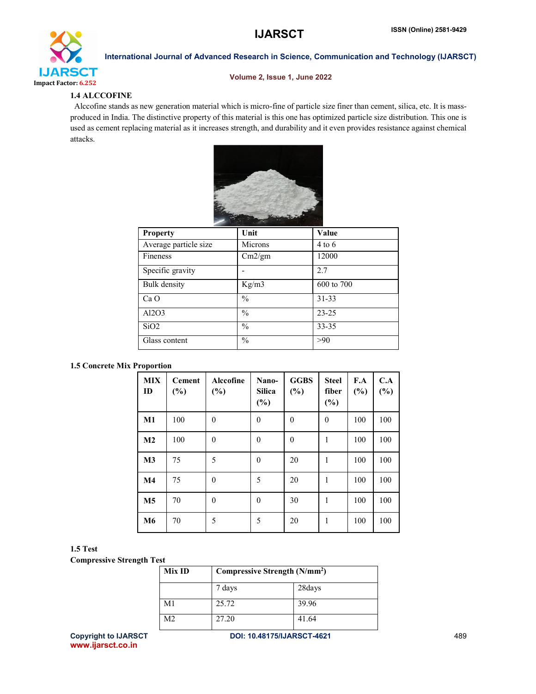

#### Volume 2, Issue 1, June 2022

## 1.4 ALCCOFINE

 Alccofine stands as new generation material which is micro-fine of particle size finer than cement, silica, etc. It is massproduced in India. The distinctive property of this material is this one has optimized particle size distribution. This one is used as cement replacing material as it increases strength, and durability and it even provides resistance against chemical attacks.



| Unit          | Value      |
|---------------|------------|
| Microns       | $4$ to $6$ |
| Cm2/gm        | 12000      |
|               | 2.7        |
| Kg/m3         | 600 to 700 |
| $\frac{0}{0}$ | $31 - 33$  |
| $\frac{0}{0}$ | $23 - 25$  |
| $\frac{0}{0}$ | $33 - 35$  |
| $\frac{0}{0}$ | >90        |
|               |            |

#### 1.5 Concrete Mix Proportion

| <b>MIX</b><br>ID | <b>Cement</b><br>$(\%)$ | Alccofine<br>$(\%)$ | Nano-<br><b>Silica</b><br>$(\%)$ | <b>GGBS</b><br>(%) | <b>Steel</b><br>fiber<br>(%) | F.A<br>(%) | C.A<br>(%) |
|------------------|-------------------------|---------------------|----------------------------------|--------------------|------------------------------|------------|------------|
| $\mathbf{M}1$    | 100                     | $\theta$            | $\theta$                         | $\theta$           | $\theta$                     | 100        | 100        |
| M <sub>2</sub>   | 100                     | $\theta$            | $\theta$                         | $\theta$           | 1                            | 100        | 100        |
| M <sub>3</sub>   | 75                      | 5                   | $\theta$                         | 20                 | 1                            | 100        | 100        |
| M <sub>4</sub>   | 75                      | $\theta$            | 5                                | 20                 | 1                            | 100        | 100        |
| M <sub>5</sub>   | 70                      | $\theta$            | $\theta$                         | 30                 | 1                            | 100        | 100        |
| M6               | 70                      | 5                   | 5                                | 20                 | 1                            | 100        | 100        |

#### 1.5 Test

Compressive Strength Test

| Mix ID |        | Compressive Strength (N/mm <sup>2</sup> ) |  |  |
|--------|--------|-------------------------------------------|--|--|
|        | 7 days | 28days                                    |  |  |
| M1     | 25.72  | 39.96                                     |  |  |
| M2     | 27.20  | 41.64                                     |  |  |

www.ijarsct.co.in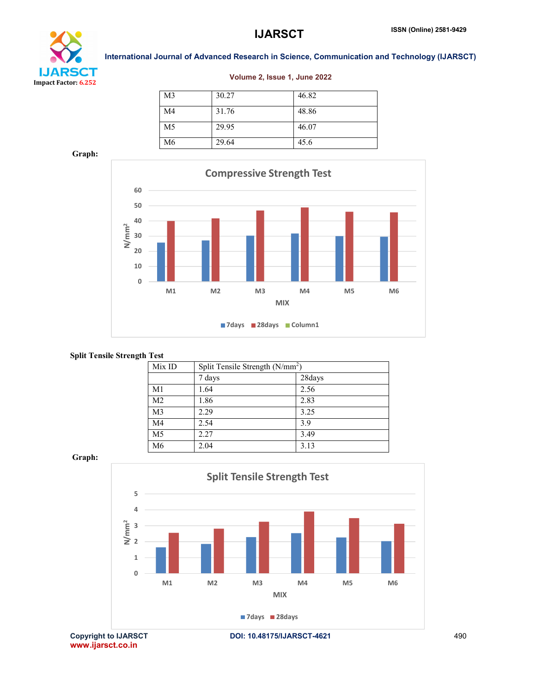

#### Volume 2, Issue 1, June 2022

| M <sub>3</sub> | 30.27 | 46.82 |
|----------------|-------|-------|
| M4             | 31.76 | 48.86 |
| M5             | 29.95 | 46.07 |
| M6             | 29.64 | 45.6  |

Graph:



#### Split Tensile Strength Test

| Mix ID         | Split Tensile Strength $(N/mm2)$ |        |
|----------------|----------------------------------|--------|
|                | 7 days                           | 28days |
| M1             | 1.64                             | 2.56   |
| M <sub>2</sub> | 1.86                             | 2.83   |
| M <sub>3</sub> | 2.29                             | 3.25   |
| M4             | 2.54                             | 3.9    |
| M <sub>5</sub> | 2.27                             | 3.49   |
| M6             | 2.04                             | 3.13   |

Graph:

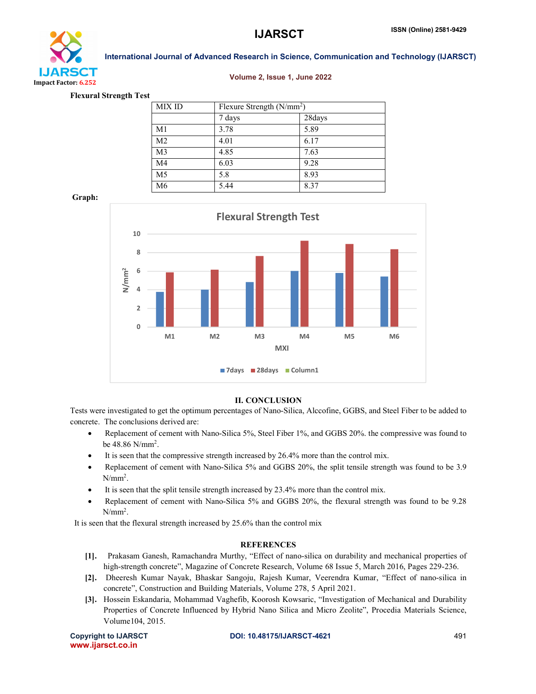

#### Volume 2, Issue 1, June 2022

Flexural Strength Test

| <b>MIX ID</b>  |        | Flexure Strength $(N/mm2)$ |  |  |
|----------------|--------|----------------------------|--|--|
|                | 7 days | 28days                     |  |  |
| M1             | 3.78   | 5.89                       |  |  |
| M <sub>2</sub> | 4.01   | 6.17                       |  |  |
| M <sub>3</sub> | 4.85   | 7.63                       |  |  |
| M <sub>4</sub> | 6.03   | 9.28                       |  |  |
| M <sub>5</sub> | 5.8    | 8.93                       |  |  |
| M6             | 5.44   | 8.37                       |  |  |

Graph:



#### II. CONCLUSION

Tests were investigated to get the optimum percentages of Nano-Silica, Alccofine, GGBS, and Steel Fiber to be added to concrete. The conclusions derived are:

- Replacement of cement with Nano-Silica 5%, Steel Fiber 1%, and GGBS 20%. the compressive was found to be 48.86 N/mm<sup>2</sup>.
- It is seen that the compressive strength increased by 26.4% more than the control mix.
- Replacement of cement with Nano-Silica 5% and GGBS 20%, the split tensile strength was found to be 3.9  $N/mm<sup>2</sup>$ .
- It is seen that the split tensile strength increased by 23.4% more than the control mix.
- Replacement of cement with Nano-Silica 5% and GGBS 20%, the flexural strength was found to be 9.28  $N/mm<sup>2</sup>$ .

It is seen that the flexural strength increased by 25.6% than the control mix

#### **REFERENCES**

- [1]. Prakasam Ganesh, Ramachandra Murthy, "Effect of nano-silica on durability and mechanical properties of high-strength concrete", Magazine of Concrete Research, Volume 68 Issue 5, March 2016, Pages 229-236.
- [2]. Dheeresh Kumar Nayak, Bhaskar Sangoju, Rajesh Kumar, Veerendra Kumar, "Effect of nano-silica in concrete", Construction and Building Materials, Volume 278, 5 April 2021.
- [3]. Hossein Eskandaria, Mohammad Vaghefib, Koorosh Kowsaric, "Investigation of Mechanical and Durability Properties of Concrete Influenced by Hybrid Nano Silica and Micro Zeolite", Procedia Materials Science, Volume104, 2015.